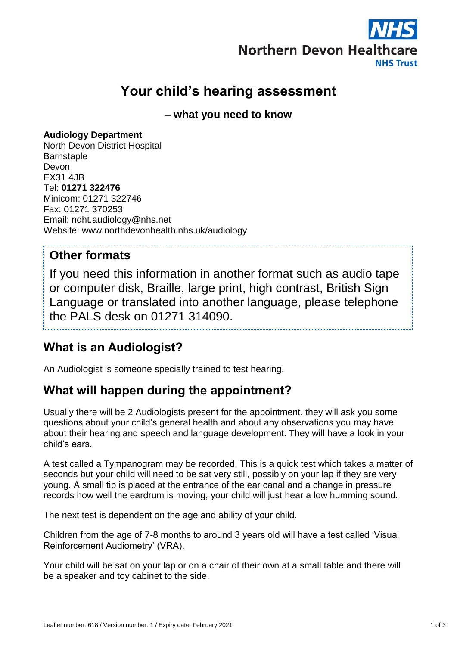

# **Your child's hearing assessment**

**– what you need to know**

#### **Audiology Department**

North Devon District Hospital **Barnstaple** Devon EX31 4JB Tel: **01271 322476** Minicom: 01271 322746 Fax: 01271 370253 Email: ndht.audiology@nhs.net Website: www.northdevonhealth.nhs.uk/audiology

#### **Other formats**

If you need this information in another format such as audio tape or computer disk, Braille, large print, high contrast, British Sign Language or translated into another language, please telephone the PALS desk on 01271 314090.

# **What is an Audiologist?**

An Audiologist is someone specially trained to test hearing.

### **What will happen during the appointment?**

Usually there will be 2 Audiologists present for the appointment, they will ask you some questions about your child's general health and about any observations you may have about their hearing and speech and language development. They will have a look in your child's ears.

A test called a Tympanogram may be recorded. This is a quick test which takes a matter of seconds but your child will need to be sat very still, possibly on your lap if they are very young. A small tip is placed at the entrance of the ear canal and a change in pressure records how well the eardrum is moving, your child will just hear a low humming sound.

The next test is dependent on the age and ability of your child.

Children from the age of 7-8 months to around 3 years old will have a test called 'Visual Reinforcement Audiometry' (VRA).

Your child will be sat on your lap or on a chair of their own at a small table and there will be a speaker and toy cabinet to the side.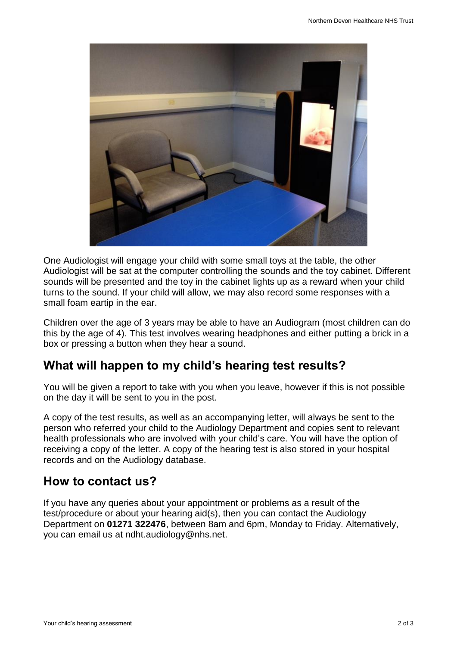

One Audiologist will engage your child with some small toys at the table, the other Audiologist will be sat at the computer controlling the sounds and the toy cabinet. Different sounds will be presented and the toy in the cabinet lights up as a reward when your child turns to the sound. If your child will allow, we may also record some responses with a small foam eartip in the ear.

Children over the age of 3 years may be able to have an Audiogram (most children can do this by the age of 4). This test involves wearing headphones and either putting a brick in a box or pressing a button when they hear a sound.

# **What will happen to my child's hearing test results?**

You will be given a report to take with you when you leave, however if this is not possible on the day it will be sent to you in the post.

A copy of the test results, as well as an accompanying letter, will always be sent to the person who referred your child to the Audiology Department and copies sent to relevant health professionals who are involved with your child's care. You will have the option of receiving a copy of the letter. A copy of the hearing test is also stored in your hospital records and on the Audiology database.

### **How to contact us?**

If you have any queries about your appointment or problems as a result of the test/procedure or about your hearing aid(s), then you can contact the Audiology Department on **01271 322476**, between 8am and 6pm, Monday to Friday. Alternatively, you can email us at [ndht.audiology@nhs.net.](mailto:ndht.audiology@nhs.net)